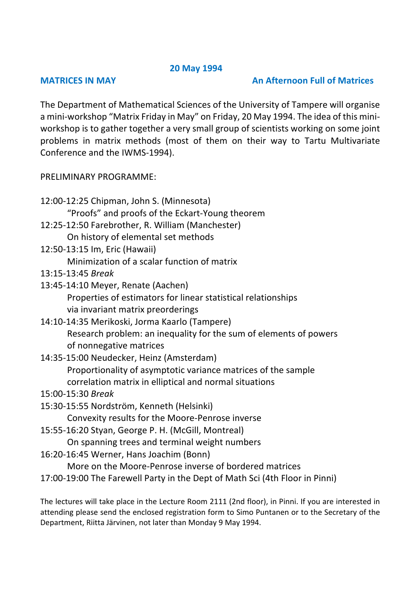## **20 May 1994**

## **MATRICES IN MAY CONSUMING AN AFTERNOON Full of Matrices**

The Department of Mathematical Sciences of the University of Tampere will organise a mini-workshop "Matrix Friday in May" on Friday, 20 May 1994. The idea of this miniworkshop is to gather together a very small group of scientists working on some joint problems in matrix methods (most of them on their way to Tartu Multivariate Conference and the IWMS-1994).

## PRELIMINARY PROGRAMME:

- 12:00-12:25 Chipman, John S. (Minnesota) "Proofs" and proofs of the Eckart-Young theorem 12:25-12:50 Farebrother, R. William (Manchester) On history of elemental set methods
- 12:50-13:15 Im, Eric (Hawaii) Minimization of a scalar function of matrix
- 13:15-13:45 *Break*
- 13:45-14:10 Meyer, Renate (Aachen) Properties of estimators for linear statistical relationships via invariant matrix preorderings
- 14:10-14:35 Merikoski, Jorma Kaarlo (Tampere) Research problem: an inequality for the sum of elements of powers of nonnegative matrices
- 14:35-15:00 Neudecker, Heinz (Amsterdam) Proportionality of asymptotic variance matrices of the sample correlation matrix in elliptical and normal situations
- 15:00-15:30 *Break*
- 15:30-15:55 Nordström, Kenneth (Helsinki)

Convexity results for the Moore-Penrose inverse

15:55-16:20 Styan, George P. H. (McGill, Montreal)

On spanning trees and terminal weight numbers

16:20-16:45 Werner, Hans Joachim (Bonn)

More on the Moore-Penrose inverse of bordered matrices

17:00-19:00 The Farewell Party in the Dept of Math Sci (4th Floor in Pinni)

The lectures will take place in the Lecture Room 2111 (2nd floor), in Pinni. If you are interested in attending please send the enclosed registration form to Simo Puntanen or to the Secretary of the Department, Riitta Järvinen, not later than Monday 9 May 1994.